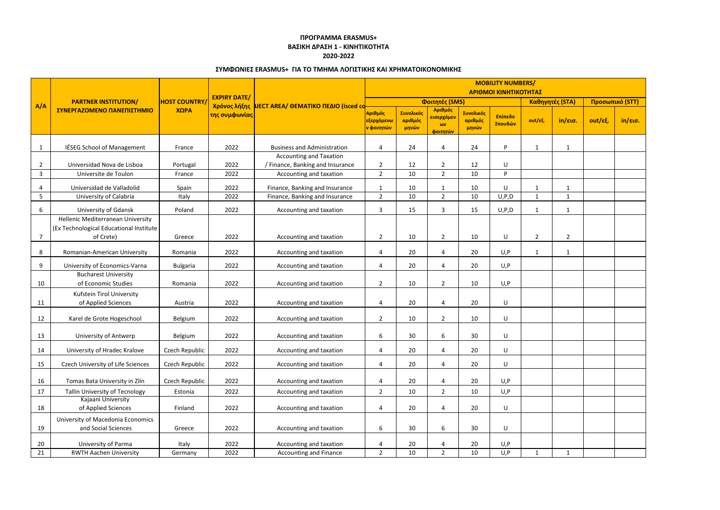| A/A            | <b>PARTNER INSTITUTION/</b><br>ΣΥΝΕΡΓΑΖΟΜΕΝΟ ΠΑΝΕΠΙΣΤΗΜΙΟ                                 | <b>HOST COUNTRY</b><br>ΧΩΡΑ | <b>EXPIRY DATE/</b><br>Χρόνος λήξης<br>της συμφωνίας | <b>BJECT AREA/ OEMATIKO NEAIO (isced cd-</b>                     | <b>MOBILITY NUMBERS/</b><br>ΑΡΙΘΜΟΙ ΚΙΝΗΤΙΚΟΤΗΤΑΣ |                               |                                                 |                               |                    |                 |                   |                   |                   |  |
|----------------|-------------------------------------------------------------------------------------------|-----------------------------|------------------------------------------------------|------------------------------------------------------------------|---------------------------------------------------|-------------------------------|-------------------------------------------------|-------------------------------|--------------------|-----------------|-------------------|-------------------|-------------------|--|
|                |                                                                                           |                             |                                                      |                                                                  | Φοιτητές (SMS)                                    |                               |                                                 |                               |                    | Καθηγητές (STA) |                   |                   | Προσωπικό (STT)   |  |
|                |                                                                                           |                             |                                                      |                                                                  | Αριθμός<br>εξερχόμενω<br>ν φοιτητών               | Συνολικός<br>αριθμός<br>μηνών | Αριθμός<br>εισερχόμεν<br>$\omega$ v<br>φοιτητών | Συνολικός<br>αριθμός<br>μηνών | Επίπεδο<br>Σπουδών | out/εξ.         | $in/\epsilon$ ισ. | $out/\epsilon$ ξ. | $in/\epsilon$ ισ. |  |
|                | IÉSEG School of Management                                                                | France                      | 2022                                                 | <b>Business and Administration</b>                               | 4                                                 | 24                            | $\overline{4}$                                  | 24                            | P                  | 1               | $\mathbf{1}$      |                   |                   |  |
| $\overline{2}$ | Universidad Nova de Lisboa                                                                | Portugal                    | 2022                                                 | <b>Accounting and Taxation</b><br>Finance, Banking and Insurance | $\overline{2}$                                    | 12                            | $\overline{2}$                                  | 12                            | U                  |                 |                   |                   |                   |  |
| $\mathbf{3}$   | Universite de Toulon                                                                      | France                      | 2022                                                 | Accounting and taxation                                          | $\overline{2}$                                    | 10                            | $\overline{2}$                                  | 10                            | P                  |                 |                   |                   |                   |  |
| 4              | Universidad de Valladolid                                                                 | Spain                       | 2022                                                 | Finance, Banking and Insurance                                   |                                                   | 10                            | $\mathbf{1}$                                    | 10                            | $\cup$             | 1               | $\mathbf{1}$      |                   |                   |  |
| 5              | University of Calabria                                                                    | Italy                       | 2022                                                 | Finance, Banking and Insurance                                   | $\overline{2}$                                    | 10                            | $\overline{2}$                                  | 10                            | U, P, D            | $\mathbf{1}$    | $\mathbf{1}$      |                   |                   |  |
| 6              | University of Gdansk                                                                      | Poland                      | 2022                                                 | Accounting and taxation                                          | 3                                                 | 15                            | $\overline{3}$                                  | 15                            | U, P, D            | 1               | 1                 |                   |                   |  |
| $\overline{7}$ | Hellenic Mediterranean University<br>(Ex Technological Educational Institute<br>of Crete) | Greece                      | 2022                                                 | Accounting and taxation                                          | $\overline{2}$                                    | 10                            | $\overline{2}$                                  | 10                            | U                  | $\overline{2}$  | $\overline{2}$    |                   |                   |  |
| 8              | Romanian-American University                                                              | Romania                     | 2022                                                 | Accounting and taxation                                          | 4                                                 | 20                            | $\overline{4}$                                  | 20                            | U, P               | 1               | 1                 |                   |                   |  |
| 9              | University of Economics-Varna                                                             | <b>Bulgaria</b>             | 2022                                                 | Accounting and taxation                                          | $\boldsymbol{\Delta}$                             | 20                            | 4                                               | 20                            | U, P               |                 |                   |                   |                   |  |
| 10             | <b>Bucharest University</b><br>of Economic Studies                                        | Romania                     | 2022                                                 | Accounting and taxation                                          | $\overline{2}$                                    | 10                            | $\overline{2}$                                  | 10                            | U, P               |                 |                   |                   |                   |  |
| 11             | Kufstein Tirol University<br>of Applied Sciences                                          | Austria                     | 2022                                                 | Accounting and taxation                                          | $\overline{4}$                                    | 20                            | 4                                               | 20                            | $\sf U$            |                 |                   |                   |                   |  |
| 12             | Karel de Grote Hogeschool                                                                 | Belgium                     | 2022                                                 | Accounting and taxation                                          | $\overline{2}$                                    | 10                            | $\overline{2}$                                  | 10                            | U                  |                 |                   |                   |                   |  |
| 13             | University of Antwerp                                                                     | Belgium                     | 2022                                                 | Accounting and taxation                                          | 6                                                 | 30                            | 6                                               | 30                            | U                  |                 |                   |                   |                   |  |
| 14             | University of Hradec Kralove                                                              | Czech Republic              | 2022                                                 | Accounting and taxation                                          | 4                                                 | 20                            | 4                                               | 20                            | U                  |                 |                   |                   |                   |  |
| 15             | Czech University of Life Sciences                                                         | Czech Republic              | 2022                                                 | Accounting and taxation                                          | 4                                                 | 20                            | $\overline{4}$                                  | 20                            | $\sf U$            |                 |                   |                   |                   |  |
| 16             | Tomas Bata University in Zlín                                                             | Czech Republic              | 2022                                                 | Accounting and taxation                                          | 4                                                 | 20                            | $\overline{a}$                                  | 20                            | U, P               |                 |                   |                   |                   |  |
| 17             | <b>Tallin University of Tecnology</b>                                                     | Estonia                     | 2022                                                 | Accounting and taxation                                          | $\overline{2}$                                    | 10                            | $\overline{2}$                                  | 10                            | U, P               |                 |                   |                   |                   |  |
| 18             | Kajaani University<br>of Applied Sciences                                                 | Finland                     | 2022                                                 | Accounting and taxation                                          | 4                                                 | 20                            | $\overline{a}$                                  | 20                            | U                  |                 |                   |                   |                   |  |
| 19             | University of Macedonia Economics<br>and Social Sciences                                  | Greece                      | 2022                                                 | Accounting and taxation                                          | 6                                                 | 30                            | 6                                               | 30 <sup>°</sup>               | $\sf U$            |                 |                   |                   |                   |  |
| 20             | University of Parma                                                                       | Italy                       | 2022                                                 | Accounting and taxation                                          | $\overline{4}$                                    | 20                            | 4                                               | 20                            | U, P               |                 |                   |                   |                   |  |
| 21             | <b>RWTH Aachen University</b>                                                             | Germany                     | 2022                                                 | Accounting and Finance                                           | $\overline{2}$                                    | 10                            | $\overline{2}$                                  | 10                            | U,P                | 1               | 1                 |                   |                   |  |

## **ΠΡΟΓΡΑΜΜΑ ERASMUS+ ΒΑΣΙΚΗ ΔΡΑΣΗ 1 - ΚΙΝΗΤΙΚΟΤΗΤΑ 2020-2022**

## **ΣΥΜΦΩΝΙΕΣ ERASMUS+ ΓΙΑ ΤΟ ΤΜΗΜΑ ΛΟΓΙΣΤΙΚΗΣ ΚΑΙ ΧΡΗΜΑΤΟΙΚΟΝΟΜΙΚΗΣ**